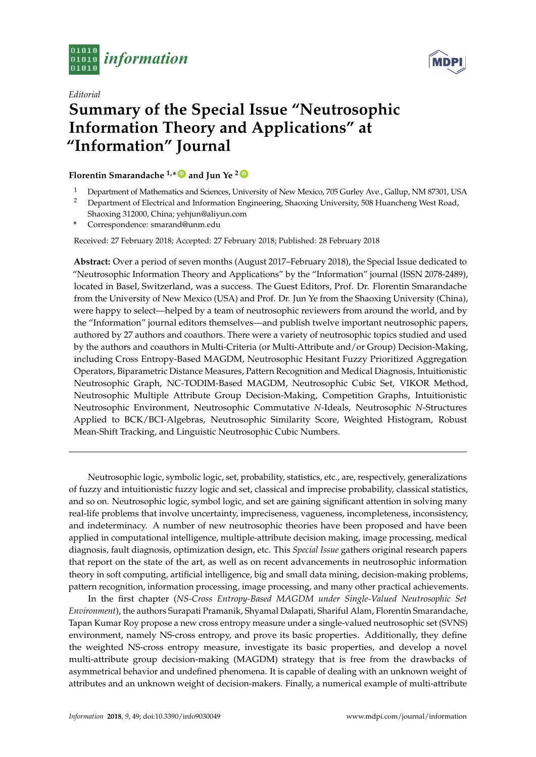



## *Editorial* **Summary of the Special Issue "Neutrosophic Information Theory and Applications" at "Information" Journal**

## **Florentin Smarandache 1,\* [ID](https://orcid.org/0000-0002-5560-5926) and Jun Ye <sup>2</sup> [ID](https://orcid.org/0000-0003-2841-6529)**

- <sup>1</sup> Department of Mathematics and Sciences, University of New Mexico, 705 Gurley Ave., Gallup, NM 87301, USA<br><sup>2</sup> Department of Electrical and Information Engineering Shaoxing University 508 Huancheng West Road
- <sup>2</sup> Department of Electrical and Information Engineering, Shaoxing University, 508 Huancheng West Road, Shaoxing 312000, China; yehjun@aliyun.com
- **\*** Correspondence: smarand@unm.edu

Received: 27 February 2018; Accepted: 27 February 2018; Published: 28 February 2018

**Abstract:** Over a period of seven months (August 2017–February 2018), the Special Issue dedicated to "Neutrosophic Information Theory and Applications" by the "Information" journal (ISSN 2078-2489), located in Basel, Switzerland, was a success. The Guest Editors, Prof. Dr. Florentin Smarandache from the University of New Mexico (USA) and Prof. Dr. Jun Ye from the Shaoxing University (China), were happy to select—helped by a team of neutrosophic reviewers from around the world, and by the "Information" journal editors themselves—and publish twelve important neutrosophic papers, authored by 27 authors and coauthors. There were a variety of neutrosophic topics studied and used by the authors and coauthors in Multi-Criteria (or Multi-Attribute and/or Group) Decision-Making, including Cross Entropy-Based MAGDM, Neutrosophic Hesitant Fuzzy Prioritized Aggregation Operators, Biparametric Distance Measures, Pattern Recognition and Medical Diagnosis, Intuitionistic Neutrosophic Graph, NC-TODIM-Based MAGDM, Neutrosophic Cubic Set, VIKOR Method, Neutrosophic Multiple Attribute Group Decision-Making, Competition Graphs, Intuitionistic Neutrosophic Environment, Neutrosophic Commutative *N*-Ideals, Neutrosophic *N*-Structures Applied to BCK/BCI-Algebras, Neutrosophic Similarity Score, Weighted Histogram, Robust Mean-Shift Tracking, and Linguistic Neutrosophic Cubic Numbers.

Neutrosophic logic, symbolic logic, set, probability, statistics, etc., are, respectively, generalizations of fuzzy and intuitionistic fuzzy logic and set, classical and imprecise probability, classical statistics, and so on. Neutrosophic logic, symbol logic, and set are gaining significant attention in solving many real-life problems that involve uncertainty, impreciseness, vagueness, incompleteness, inconsistency, and indeterminacy. A number of new neutrosophic theories have been proposed and have been applied in computational intelligence, multiple-attribute decision making, image processing, medical diagnosis, fault diagnosis, optimization design, etc. This *Special Issue* gathers original research papers that report on the state of the art, as well as on recent advancements in neutrosophic information theory in soft computing, artificial intelligence, big and small data mining, decision-making problems, pattern recognition, information processing, image processing, and many other practical achievements.

In the first chapter (*NS-Cross Entropy-Based MAGDM under Single-Valued Neutrosophic Set Environment*), the authors Surapati Pramanik, Shyamal Dalapati, Shariful Alam, Florentin Smarandache, Tapan Kumar Roy propose a new cross entropy measure under a single-valued neutrosophic set (SVNS) environment, namely NS-cross entropy, and prove its basic properties. Additionally, they define the weighted NS-cross entropy measure, investigate its basic properties, and develop a novel multi-attribute group decision-making (MAGDM) strategy that is free from the drawbacks of asymmetrical behavior and undefined phenomena. It is capable of dealing with an unknown weight of attributes and an unknown weight of decision-makers. Finally, a numerical example of multi-attribute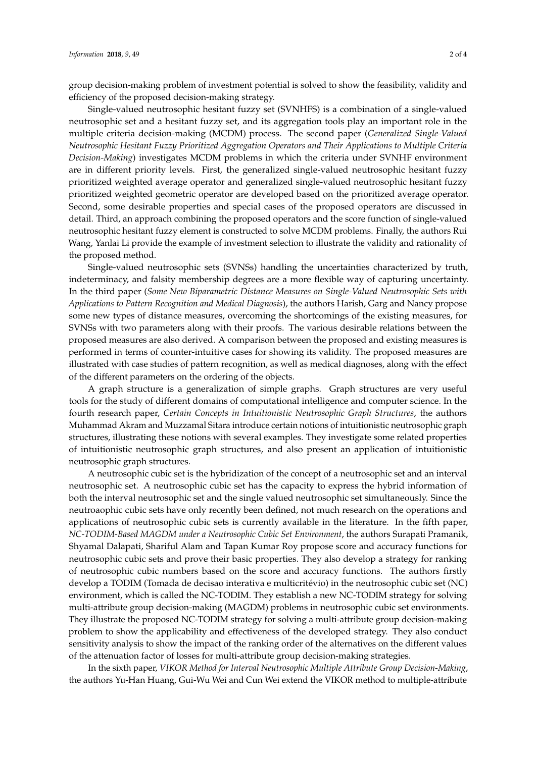group decision-making problem of investment potential is solved to show the feasibility, validity and efficiency of the proposed decision-making strategy.

Single-valued neutrosophic hesitant fuzzy set (SVNHFS) is a combination of a single-valued neutrosophic set and a hesitant fuzzy set, and its aggregation tools play an important role in the multiple criteria decision-making (MCDM) process. The second paper (*Generalized Single-Valued Neutrosophic Hesitant Fuzzy Prioritized Aggregation Operators and Their Applications to Multiple Criteria Decision-Making*) investigates MCDM problems in which the criteria under SVNHF environment are in different priority levels. First, the generalized single-valued neutrosophic hesitant fuzzy prioritized weighted average operator and generalized single-valued neutrosophic hesitant fuzzy prioritized weighted geometric operator are developed based on the prioritized average operator. Second, some desirable properties and special cases of the proposed operators are discussed in detail. Third, an approach combining the proposed operators and the score function of single-valued neutrosophic hesitant fuzzy element is constructed to solve MCDM problems. Finally, the authors Rui Wang, Yanlai Li provide the example of investment selection to illustrate the validity and rationality of the proposed method.

Single-valued neutrosophic sets (SVNSs) handling the uncertainties characterized by truth, indeterminacy, and falsity membership degrees are a more flexible way of capturing uncertainty. In the third paper (*Some New Biparametric Distance Measures on Single-Valued Neutrosophic Sets with Applications to Pattern Recognition and Medical Diagnosis*), the authors Harish, Garg and Nancy propose some new types of distance measures, overcoming the shortcomings of the existing measures, for SVNSs with two parameters along with their proofs. The various desirable relations between the proposed measures are also derived. A comparison between the proposed and existing measures is performed in terms of counter-intuitive cases for showing its validity. The proposed measures are illustrated with case studies of pattern recognition, as well as medical diagnoses, along with the effect of the different parameters on the ordering of the objects.

A graph structure is a generalization of simple graphs. Graph structures are very useful tools for the study of different domains of computational intelligence and computer science. In the fourth research paper, *Certain Concepts in Intuitionistic Neutrosophic Graph Structures*, the authors Muhammad Akram and Muzzamal Sitara introduce certain notions of intuitionistic neutrosophic graph structures, illustrating these notions with several examples. They investigate some related properties of intuitionistic neutrosophic graph structures, and also present an application of intuitionistic neutrosophic graph structures.

A neutrosophic cubic set is the hybridization of the concept of a neutrosophic set and an interval neutrosophic set. A neutrosophic cubic set has the capacity to express the hybrid information of both the interval neutrosophic set and the single valued neutrosophic set simultaneously. Since the neutroaophic cubic sets have only recently been defined, not much research on the operations and applications of neutrosophic cubic sets is currently available in the literature. In the fifth paper, *NC-TODIM-Based MAGDM under a Neutrosophic Cubic Set Environment*, the authors Surapati Pramanik, Shyamal Dalapati, Shariful Alam and Tapan Kumar Roy propose score and accuracy functions for neutrosophic cubic sets and prove their basic properties. They also develop a strategy for ranking of neutrosophic cubic numbers based on the score and accuracy functions. The authors firstly develop a TODIM (Tomada de decisao interativa e multicritévio) in the neutrosophic cubic set (NC) environment, which is called the NC-TODIM. They establish a new NC-TODIM strategy for solving multi-attribute group decision-making (MAGDM) problems in neutrosophic cubic set environments. They illustrate the proposed NC-TODIM strategy for solving a multi-attribute group decision-making problem to show the applicability and effectiveness of the developed strategy. They also conduct sensitivity analysis to show the impact of the ranking order of the alternatives on the different values of the attenuation factor of losses for multi-attribute group decision-making strategies.

In the sixth paper, *VIKOR Method for Interval Neutrosophic Multiple Attribute Group Decision-Making*, the authors Yu-Han Huang, Gui-Wu Wei and Cun Wei extend the VIKOR method to multiple-attribute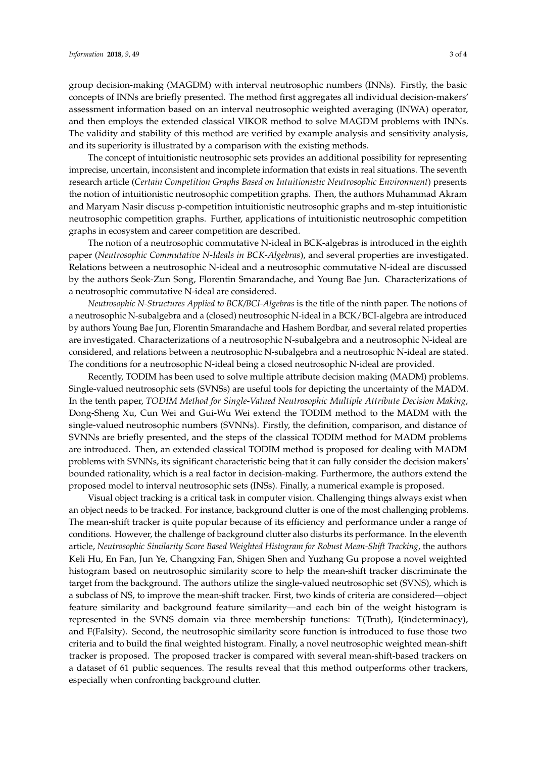group decision-making (MAGDM) with interval neutrosophic numbers (INNs). Firstly, the basic concepts of INNs are briefly presented. The method first aggregates all individual decision-makers' assessment information based on an interval neutrosophic weighted averaging (INWA) operator, and then employs the extended classical VIKOR method to solve MAGDM problems with INNs. The validity and stability of this method are verified by example analysis and sensitivity analysis, and its superiority is illustrated by a comparison with the existing methods.

The concept of intuitionistic neutrosophic sets provides an additional possibility for representing imprecise, uncertain, inconsistent and incomplete information that exists in real situations. The seventh research article (*Certain Competition Graphs Based on Intuitionistic Neutrosophic Environment*) presents the notion of intuitionistic neutrosophic competition graphs. Then, the authors Muhammad Akram and Maryam Nasir discuss p-competition intuitionistic neutrosophic graphs and m-step intuitionistic neutrosophic competition graphs. Further, applications of intuitionistic neutrosophic competition graphs in ecosystem and career competition are described.

The notion of a neutrosophic commutative N-ideal in BCK-algebras is introduced in the eighth paper (*Neutrosophic Commutative N-Ideals in BCK-Algebras*), and several properties are investigated. Relations between a neutrosophic N-ideal and a neutrosophic commutative N-ideal are discussed by the authors Seok-Zun Song, Florentin Smarandache, and Young Bae Jun. Characterizations of a neutrosophic commutative N-ideal are considered.

*Neutrosophic N-Structures Applied to BCK/BCI-Algebras* is the title of the ninth paper. The notions of a neutrosophic N-subalgebra and a (closed) neutrosophic N-ideal in a BCK/BCI-algebra are introduced by authors Young Bae Jun, Florentin Smarandache and Hashem Bordbar, and several related properties are investigated. Characterizations of a neutrosophic N-subalgebra and a neutrosophic N-ideal are considered, and relations between a neutrosophic N-subalgebra and a neutrosophic N-ideal are stated. The conditions for a neutrosophic N-ideal being a closed neutrosophic N-ideal are provided.

Recently, TODIM has been used to solve multiple attribute decision making (MADM) problems. Single-valued neutrosophic sets (SVNSs) are useful tools for depicting the uncertainty of the MADM. In the tenth paper, *TODIM Method for Single-Valued Neutrosophic Multiple Attribute Decision Making*, Dong-Sheng Xu, Cun Wei and Gui-Wu Wei extend the TODIM method to the MADM with the single-valued neutrosophic numbers (SVNNs). Firstly, the definition, comparison, and distance of SVNNs are briefly presented, and the steps of the classical TODIM method for MADM problems are introduced. Then, an extended classical TODIM method is proposed for dealing with MADM problems with SVNNs, its significant characteristic being that it can fully consider the decision makers' bounded rationality, which is a real factor in decision-making. Furthermore, the authors extend the proposed model to interval neutrosophic sets (INSs). Finally, a numerical example is proposed.

Visual object tracking is a critical task in computer vision. Challenging things always exist when an object needs to be tracked. For instance, background clutter is one of the most challenging problems. The mean-shift tracker is quite popular because of its efficiency and performance under a range of conditions. However, the challenge of background clutter also disturbs its performance. In the eleventh article, *Neutrosophic Similarity Score Based Weighted Histogram for Robust Mean-Shift Tracking*, the authors Keli Hu, En Fan, Jun Ye, Changxing Fan, Shigen Shen and Yuzhang Gu propose a novel weighted histogram based on neutrosophic similarity score to help the mean-shift tracker discriminate the target from the background. The authors utilize the single-valued neutrosophic set (SVNS), which is a subclass of NS, to improve the mean-shift tracker. First, two kinds of criteria are considered—object feature similarity and background feature similarity—and each bin of the weight histogram is represented in the SVNS domain via three membership functions: T(Truth), I(indeterminacy), and F(Falsity). Second, the neutrosophic similarity score function is introduced to fuse those two criteria and to build the final weighted histogram. Finally, a novel neutrosophic weighted mean-shift tracker is proposed. The proposed tracker is compared with several mean-shift-based trackers on a dataset of 61 public sequences. The results reveal that this method outperforms other trackers, especially when confronting background clutter.